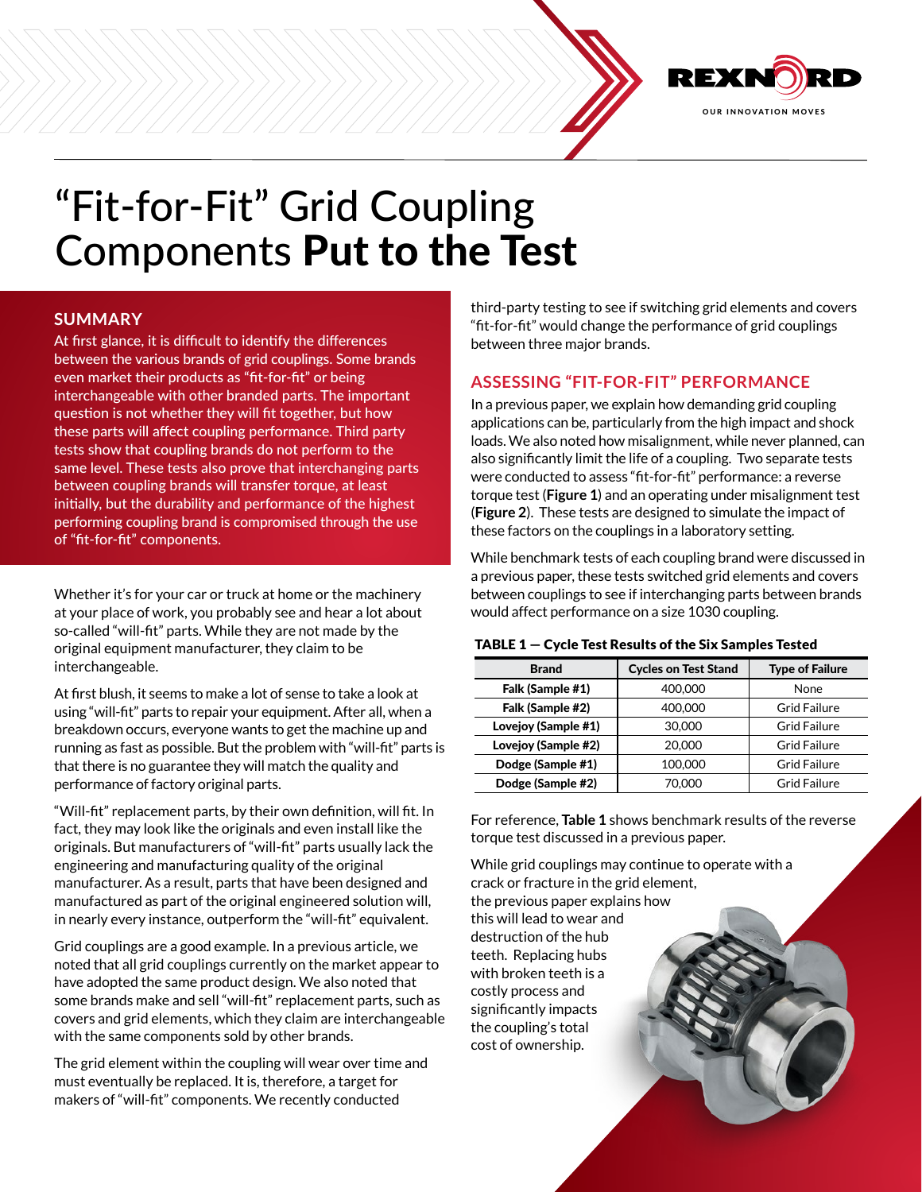

# "Fit-for-Fit" Grid Coupling Components Put to the Test

# **SUMMARY**

At first glance, it is difficult to identify the differences between the various brands of grid couplings. Some brands even market their products as "fit-for-fit" or being interchangeable with other branded parts. The important question is not whether they will fit together, but how these parts will affect coupling performance. Third party tests show that coupling brands do not perform to the same level. These tests also prove that interchanging parts between coupling brands will transfer torque, at least initially, but the durability and performance of the highest performing coupling brand is compromised through the use of "fit-for-fit" components.

Whether it's for your car or truck at home or the machinery at your place of work, you probably see and hear a lot about so-called "will-fit" parts. While they are not made by the original equipment manufacturer, they claim to be interchangeable.

At first blush, it seems to make a lot of sense to take a look at using "will-fit" parts to repair your equipment. After all, when a breakdown occurs, everyone wants to get the machine up and running as fast as possible. But the problem with "will-fit" parts is that there is no guarantee they will match the quality and performance of factory original parts.

"Will-fit" replacement parts, by their own definition, will fit. In fact, they may look like the originals and even install like the originals. But manufacturers of "will-fit" parts usually lack the engineering and manufacturing quality of the original manufacturer. As a result, parts that have been designed and manufactured as part of the original engineered solution will, in nearly every instance, outperform the "will-fit" equivalent.

Grid couplings are a good example. In a previous article, we noted that all grid couplings currently on the market appear to have adopted the same product design. We also noted that some brands make and sell "will-fit" replacement parts, such as covers and grid elements, which they claim are interchangeable with the same components sold by other brands.

The grid element within the coupling will wear over time and must eventually be replaced. It is, therefore, a target for makers of "will-fit" components. We recently conducted

third-party testing to see if switching grid elements and covers "fit-for-fit" would change the performance of grid couplings between three major brands.

## **ASSESSING "FIT-FOR-FIT" PERFORMANCE**

In a previous paper, we explain how demanding grid coupling applications can be, particularly from the high impact and shock loads. We also noted how misalignment, while never planned, can also significantly limit the life of a coupling. Two separate tests were conducted to assess "fit-for-fit" performance: a reverse torque test (**[Figure 1](#page-1-0)**) and an operating under misalignment test (**[Figure 2](#page-1-1)**). These tests are designed to simulate the impact of these factors on the couplings in a laboratory setting.

While benchmark tests of each coupling brand were discussed in a previous paper, these tests switched grid elements and covers between couplings to see if interchanging parts between brands would affect performance on a size 1030 coupling.

#### TABLE 1 — Cycle Test Results of the Six Samples Tested

| <b>Brand</b>        | <b>Cycles on Test Stand</b> | <b>Type of Failure</b> |
|---------------------|-----------------------------|------------------------|
| Falk (Sample #1)    | 400,000                     | None                   |
| Falk (Sample #2)    | 400,000                     | <b>Grid Failure</b>    |
| Lovejoy (Sample #1) | 30,000                      | <b>Grid Failure</b>    |
| Lovejoy (Sample #2) | 20,000                      | <b>Grid Failure</b>    |
| Dodge (Sample #1)   | 100,000                     | <b>Grid Failure</b>    |
| Dodge (Sample #2)   | 70.000                      | <b>Grid Failure</b>    |

For reference, **Table 1** shows benchmark results of the reverse torque test discussed in a previous paper.

While grid couplings may continue to operate with a crack or fracture in the grid element, the previous paper explains how this will lead to wear and destruction of the hub teeth. Replacing hubs with broken teeth is a costly process and significantly impacts the coupling's total cost of ownership.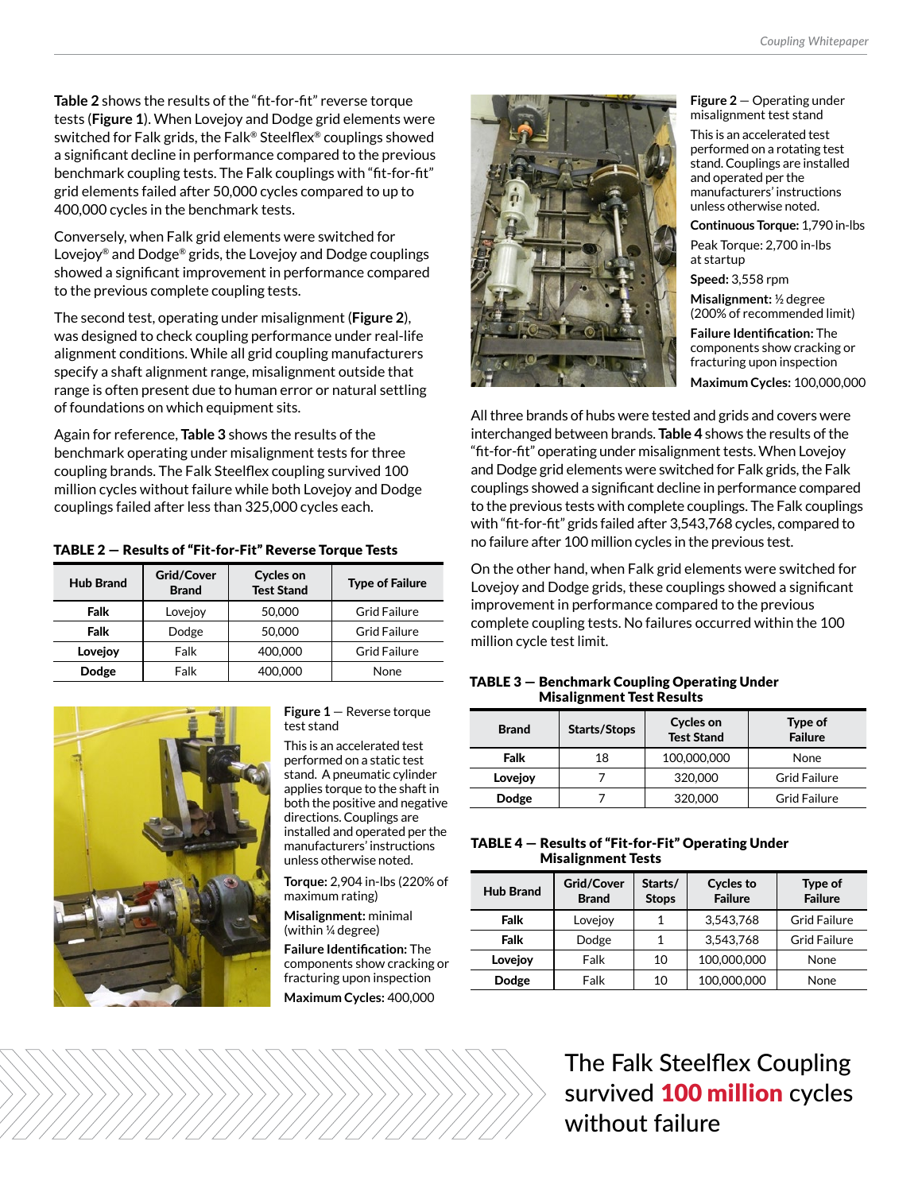**Table 2** shows the results of the "fit-for-fit" reverse torque tests (**Figure 1**). When Lovejoy and Dodge grid elements were switched for Falk grids, the Falk® Steelflex® couplings showed a significant decline in performance compared to the previous benchmark coupling tests. The Falk couplings with "fit-for-fit" grid elements failed after 50,000 cycles compared to up to 400,000 cycles in the benchmark tests.

Conversely, when Falk grid elements were switched for Lovejoy® and Dodge® grids, the Lovejoy and Dodge couplings showed a significant improvement in performance compared to the previous complete coupling tests.

The second test, operating under misalignment (**Figure 2**), was designed to check coupling performance under real-life alignment conditions. While all grid coupling manufacturers specify a shaft alignment range, misalignment outside that range is often present due to human error or natural settling of foundations on which equipment sits.

Again for reference, **Table 3** shows the results of the benchmark operating under misalignment tests for three coupling brands. The Falk Steelflex coupling survived 100 million cycles without failure while both Lovejoy and Dodge couplings failed after less than 325,000 cycles each.

|  | TABLE 2 - Results of "Fit-for-Fit" Reverse Torque Tests |  |  |
|--|---------------------------------------------------------|--|--|
|  |                                                         |  |  |

| <b>Hub Brand</b> | <b>Grid/Cover</b><br><b>Brand</b> | <b>Cycles on</b><br><b>Test Stand</b> | <b>Type of Failure</b> |
|------------------|-----------------------------------|---------------------------------------|------------------------|
| Falk             | Lovejoy                           | 50,000                                | <b>Grid Failure</b>    |
| Falk             | Dodge                             | 50,000                                | <b>Grid Failure</b>    |
| Lovejoy          | Falk                              | 400.000                               | <b>Grid Failure</b>    |
| Dodge            | Falk                              | 400,000                               | None                   |



#### <span id="page-1-0"></span>**Figure 1** — Reverse torque test stand

This is an accelerated test performed on a static test stand. A pneumatic cylinder applies torque to the shaft in both the positive and negative directions. Couplings are installed and operated per the manufacturers' instructions unless otherwise noted.

**Torque:** 2,904 in-lbs (220% of maximum rating)

**Misalignment:** minimal (within ¼ degree)

**Failure Identification:** The components show cracking or fracturing upon inspection **Maximum Cycles:** 400,000



#### <span id="page-1-1"></span>**Figure 2** — Operating under misalignment test stand

This is an accelerated test performed on a rotating test stand. Couplings are installed and operated per the manufacturers' instructions unless otherwise noted.

**Continuous Torque:** 1,790 in-lbs

Peak Torque: 2,700 in-lbs at startup

**Speed:** 3,558 rpm

**Misalignment:** ½ degree (200% of recommended limit)

**Failure Identification:** The components show cracking or fracturing upon inspection **Maximum Cycles:** 100,000,000

All three brands of hubs were tested and grids and covers were interchanged between brands. **Table 4** shows the results of the "fit-for-fit" operating under misalignment tests. When Lovejoy and Dodge grid elements were switched for Falk grids, the Falk couplings showed a significant decline in performance compared to the previous tests with complete couplings. The Falk couplings with "fit-for-fit" grids failed after 3,543,768 cycles, compared to no failure after 100 million cycles in the previous test.

On the other hand, when Falk grid elements were switched for Lovejoy and Dodge grids, these couplings showed a significant improvement in performance compared to the previous complete coupling tests. No failures occurred within the 100 million cycle test limit.

### TABLE 3 — Benchmark Coupling Operating Under Misalignment Test Results

| <b>Brand</b> | <b>Starts/Stops</b> | <b>Cycles on</b><br><b>Test Stand</b> | Type of<br><b>Failure</b> |
|--------------|---------------------|---------------------------------------|---------------------------|
| Falk         | 18                  | 100,000,000                           | None                      |
| Lovejoy      |                     | 320,000                               | <b>Grid Failure</b>       |
| Dodge        |                     | 320,000                               | <b>Grid Failure</b>       |

### TABLE 4 — Results of "Fit-for-Fit" Operating Under Misalignment Tests

| <b>Hub Brand</b> | <b>Grid/Cover</b><br><b>Brand</b> | Starts/<br><b>Stops</b> | <b>Cycles to</b><br><b>Failure</b> | Type of<br><b>Failure</b> |
|------------------|-----------------------------------|-------------------------|------------------------------------|---------------------------|
| Falk             | Lovejoy                           |                         | 3.543.768                          | <b>Grid Failure</b>       |
| Falk             | Dodge                             |                         | 3.543.768                          | <b>Grid Failure</b>       |
| Lovejoy          | Falk                              | 10                      | 100,000,000                        | None                      |
| Dodge            | Falk                              | 10                      | 100,000,000                        | None                      |

The Falk Steelflex Coupling survived **100 million** cycles without failure